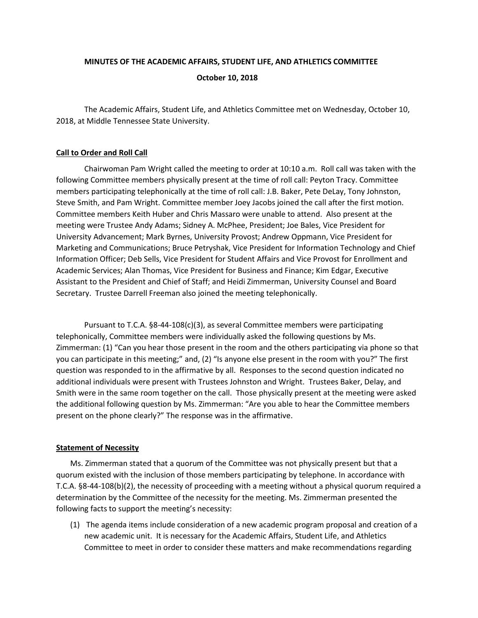# **MINUTES OF THE ACADEMIC AFFAIRS, STUDENT LIFE, AND ATHLETICS COMMITTEE October 10, 2018**

The Academic Affairs, Student Life, and Athletics Committee met on Wednesday, October 10, 2018, at Middle Tennessee State University.

## **Call to Order and Roll Call**

Chairwoman Pam Wright called the meeting to order at 10:10 a.m. Roll call was taken with the following Committee members physically present at the time of roll call: Peyton Tracy. Committee members participating telephonically at the time of roll call: J.B. Baker, Pete DeLay, Tony Johnston, Steve Smith, and Pam Wright. Committee member Joey Jacobs joined the call after the first motion. Committee members Keith Huber and Chris Massaro were unable to attend. Also present at the meeting were Trustee Andy Adams; Sidney A. McPhee, President; Joe Bales, Vice President for University Advancement; Mark Byrnes, University Provost; Andrew Oppmann, Vice President for Marketing and Communications; Bruce Petryshak, Vice President for Information Technology and Chief Information Officer; Deb Sells, Vice President for Student Affairs and Vice Provost for Enrollment and Academic Services; Alan Thomas, Vice President for Business and Finance; Kim Edgar, Executive Assistant to the President and Chief of Staff; and Heidi Zimmerman, University Counsel and Board Secretary. Trustee Darrell Freeman also joined the meeting telephonically.

Pursuant to T.C.A. §8-44-108(c)(3), as several Committee members were participating telephonically, Committee members were individually asked the following questions by Ms. Zimmerman: (1) "Can you hear those present in the room and the others participating via phone so that you can participate in this meeting;" and, (2) "Is anyone else present in the room with you?" The first question was responded to in the affirmative by all. Responses to the second question indicated no additional individuals were present with Trustees Johnston and Wright. Trustees Baker, Delay, and Smith were in the same room together on the call. Those physically present at the meeting were asked the additional following question by Ms. Zimmerman: "Are you able to hear the Committee members present on the phone clearly?" The response was in the affirmative.

## **Statement of Necessity**

Ms. Zimmerman stated that a quorum of the Committee was not physically present but that a quorum existed with the inclusion of those members participating by telephone. In accordance with T.C.A. §8-44-108(b)(2), the necessity of proceeding with a meeting without a physical quorum required a determination by the Committee of the necessity for the meeting. Ms. Zimmerman presented the following facts to support the meeting's necessity:

(1) The agenda items include consideration of a new academic program proposal and creation of a new academic unit. It is necessary for the Academic Affairs, Student Life, and Athletics Committee to meet in order to consider these matters and make recommendations regarding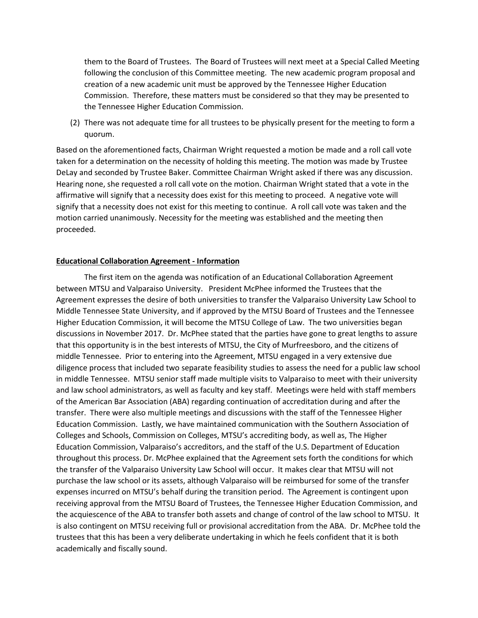them to the Board of Trustees. The Board of Trustees will next meet at a Special Called Meeting following the conclusion of this Committee meeting. The new academic program proposal and creation of a new academic unit must be approved by the Tennessee Higher Education Commission. Therefore, these matters must be considered so that they may be presented to the Tennessee Higher Education Commission.

(2) There was not adequate time for all trustees to be physically present for the meeting to form a quorum.

Based on the aforementioned facts, Chairman Wright requested a motion be made and a roll call vote taken for a determination on the necessity of holding this meeting. The motion was made by Trustee DeLay and seconded by Trustee Baker. Committee Chairman Wright asked if there was any discussion. Hearing none, she requested a roll call vote on the motion. Chairman Wright stated that a vote in the affirmative will signify that a necessity does exist for this meeting to proceed. A negative vote will signify that a necessity does not exist for this meeting to continue. A roll call vote was taken and the motion carried unanimously. Necessity for the meeting was established and the meeting then proceeded.

#### **Educational Collaboration Agreement - Information**

The first item on the agenda was notification of an Educational Collaboration Agreement between MTSU and Valparaiso University. President McPhee informed the Trustees that the Agreement expresses the desire of both universities to transfer the Valparaiso University Law School to Middle Tennessee State University, and if approved by the MTSU Board of Trustees and the Tennessee Higher Education Commission, it will become the MTSU College of Law. The two universities began discussions in November 2017. Dr. McPhee stated that the parties have gone to great lengths to assure that this opportunity is in the best interests of MTSU, the City of Murfreesboro, and the citizens of middle Tennessee. Prior to entering into the Agreement, MTSU engaged in a very extensive due diligence process that included two separate feasibility studies to assess the need for a public law school in middle Tennessee. MTSU senior staff made multiple visits to Valparaiso to meet with their university and law school administrators, as well as faculty and key staff. Meetings were held with staff members of the American Bar Association (ABA) regarding continuation of accreditation during and after the transfer. There were also multiple meetings and discussions with the staff of the Tennessee Higher Education Commission. Lastly, we have maintained communication with the Southern Association of Colleges and Schools, Commission on Colleges, MTSU's accrediting body, as well as, The Higher Education Commission, Valparaiso's accreditors, and the staff of the U.S. Department of Education throughout this process. Dr. McPhee explained that the Agreement sets forth the conditions for which the transfer of the Valparaiso University Law School will occur. It makes clear that MTSU will not purchase the law school or its assets, although Valparaiso will be reimbursed for some of the transfer expenses incurred on MTSU's behalf during the transition period. The Agreement is contingent upon receiving approval from the MTSU Board of Trustees, the Tennessee Higher Education Commission, and the acquiescence of the ABA to transfer both assets and change of control of the law school to MTSU. It is also contingent on MTSU receiving full or provisional accreditation from the ABA. Dr. McPhee told the trustees that this has been a very deliberate undertaking in which he feels confident that it is both academically and fiscally sound.